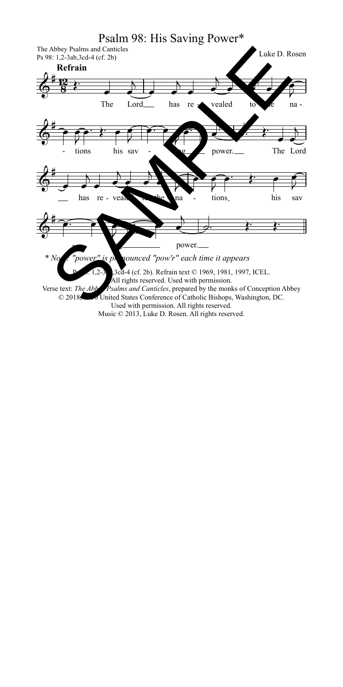